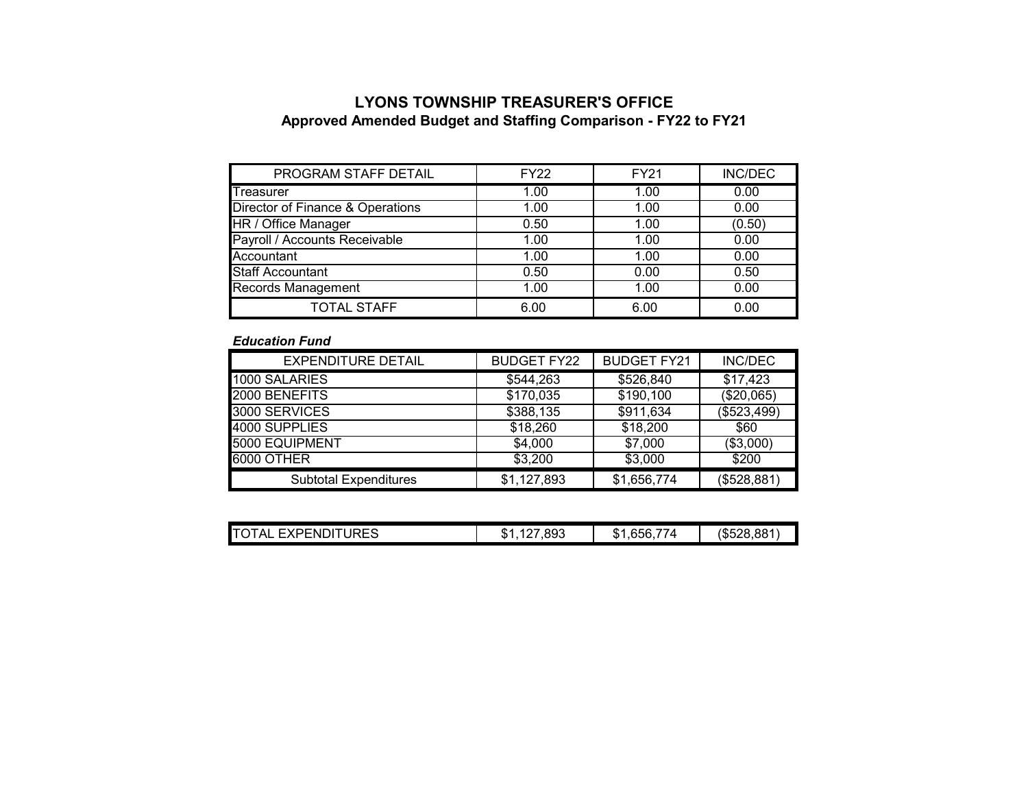## **LYONS TOWNSHIP TREASURER'S OFFICEApproved Amended Budget and Staffing Comparison - FY22 to FY21**

| PROGRAM STAFF DETAIL             | <b>FY22</b> | <b>FY21</b> | <b>INC/DEC</b> |
|----------------------------------|-------------|-------------|----------------|
| <b>Treasurer</b>                 | 1.00        | 1.00        | 0.00           |
| Director of Finance & Operations | 1.00        | 1.00        | 0.00           |
| HR / Office Manager              | 0.50        | 1.00        | (0.50)         |
| Payroll / Accounts Receivable    | 1.00        | 1.00        | 0.00           |
| Accountant                       | 1.00        | 1.00        | 0.00           |
| <b>Staff Accountant</b>          | 0.50        | 0.00        | 0.50           |
| <b>Records Management</b>        | 1.00        | 1.00        | 0.00           |
| <b>TOTAL STAFF</b>               | 6.00        | 6.00        | 0.00           |

## *Education Fund*

| <b>EXPENDITURE DETAIL</b>    | <b>BUDGET FY22</b> | <b>BUDGET FY21</b> | <b>INC/DEC</b> |
|------------------------------|--------------------|--------------------|----------------|
| 1000 SALARIES                | \$544,263          | \$526,840          | \$17,423       |
| 2000 BENEFITS                | \$170,035          | \$190,100          | (\$20,065)     |
| 3000 SERVICES                | \$388,135          | \$911,634          | (\$523,499)    |
| 4000 SUPPLIES                | \$18,260           | \$18,200           | \$60           |
| 5000 EQUIPMENT               | \$4,000            | \$7,000            | (\$3,000)      |
| 6000 OTHER                   | \$3,200            | \$3,000            | \$200          |
| <b>Subtotal Expenditures</b> | \$1,127,893        | \$1,656,774        | (\$528,881)    |

| IT(<br>JRES<br>P⊢NI<br>. . <i>. .</i> . | 893<br>œ<br>ъĐ. | --<br>г.<br>74<br>.hh<br>۰D | ററ<br>1 Tr E<br>სახ∠ბ.ŏč |
|-----------------------------------------|-----------------|-----------------------------|--------------------------|
|                                         |                 |                             |                          |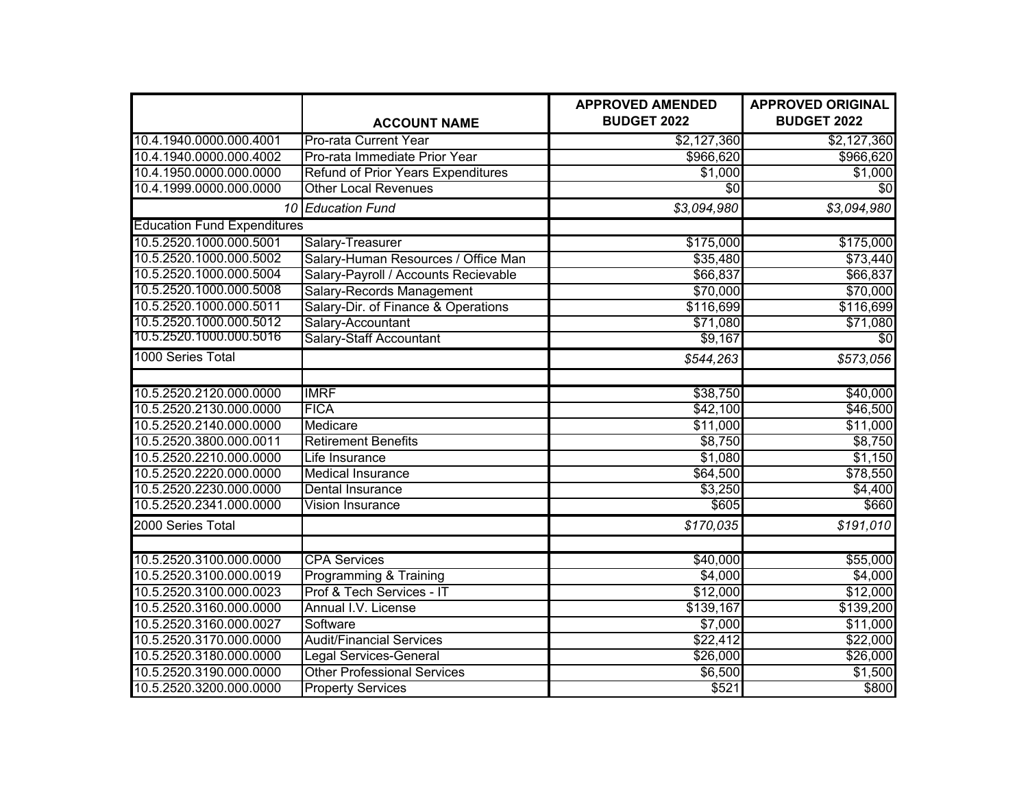|                                    |                                           | <b>APPROVED AMENDED</b> | <b>APPROVED ORIGINAL</b> |
|------------------------------------|-------------------------------------------|-------------------------|--------------------------|
|                                    | <b>ACCOUNT NAME</b>                       | <b>BUDGET 2022</b>      | <b>BUDGET 2022</b>       |
| 10.4.1940.0000.000.4001            | Pro-rata Current Year                     | \$2,127,360             | \$2,127,360              |
| 10.4.1940.0000.000.4002            | Pro-rata Immediate Prior Year             | \$966,620               | \$966,620                |
| 10.4.1950.0000.000.0000            | <b>Refund of Prior Years Expenditures</b> | \$1,000                 | \$1,000                  |
| 10.4.1999.0000.000.0000            | <b>Other Local Revenues</b>               | \$0                     | \$0                      |
|                                    | 10 Education Fund                         | \$3,094,980             | \$3,094,980              |
| <b>Education Fund Expenditures</b> |                                           |                         |                          |
| 10.5.2520.1000.000.5001            | Salary-Treasurer                          | \$175,000               | \$175,000                |
| 10.5.2520.1000.000.5002            | Salary-Human Resources / Office Man       | \$35,480                | \$73,440                 |
| 10.5.2520.1000.000.5004            | Salary-Payroll / Accounts Recievable      | \$66,837                | \$66,837                 |
| 10.5.2520.1000.000.5008            | Salary-Records Management                 | \$70,000                | \$70,000                 |
| 10.5.2520.1000.000.5011            | Salary-Dir. of Finance & Operations       | \$116,699               | \$116,699                |
| 10.5.2520.1000.000.5012            | Salary-Accountant                         | \$71,080                | \$71,080                 |
| 10.5.2520.1000.000.5016            | <b>Salary-Staff Accountant</b>            | \$9,167                 | \$0                      |
| 1000 Series Total                  |                                           | \$544,263               | \$573,056                |
|                                    |                                           |                         |                          |
| 10.5.2520.2120.000.0000            | <b>IMRF</b>                               | \$38,750                | \$40,000                 |
| 10.5.2520.2130.000.0000            | <b>FICA</b>                               | \$42,100                | \$46,500                 |
| 10.5.2520.2140.000.0000            | Medicare                                  | \$11,000                | \$11,000                 |
| 10.5.2520.3800.000.0011            | <b>Retirement Benefits</b>                | \$8,750                 | \$8,750                  |
| 10.5.2520.2210.000.0000            | Life Insurance                            | \$1,080                 | \$1,150                  |
| 10.5.2520.2220.000.0000            | <b>Medical Insurance</b>                  | \$64,500                | \$78,550                 |
| 10.5.2520.2230.000.0000            | Dental Insurance                          | \$3,250                 | \$4,400                  |
| 10.5.2520.2341.000.0000            | Vision Insurance                          | \$605                   | \$660                    |
| 2000 Series Total                  |                                           | \$170,035               | \$191,010                |
|                                    |                                           |                         |                          |
| 10.5.2520.3100.000.0000            | <b>CPA Services</b>                       | \$40,000                | \$55,000                 |
| 10.5.2520.3100.000.0019            | Programming & Training                    | \$4,000                 | \$4,000                  |
| 10.5.2520.3100.000.0023            | Prof & Tech Services - IT                 | \$12,000                | \$12,000                 |
| 10.5.2520.3160.000.0000            | Annual I.V. License                       | \$139,167               | \$139,200                |
| 10.5.2520.3160.000.0027            | Software                                  | \$7,000                 | \$11,000                 |
| 10.5.2520.3170.000.0000            | <b>Audit/Financial Services</b>           | \$22,412                | \$22,000                 |
| 10.5.2520.3180.000.0000            | <b>Legal Services-General</b>             | \$26,000                | \$26,000                 |
| 10.5.2520.3190.000.0000            | <b>Other Professional Services</b>        | \$6,500                 | \$1,500                  |
| 10.5.2520.3200.000.0000            | <b>Property Services</b>                  | \$521                   | \$800                    |